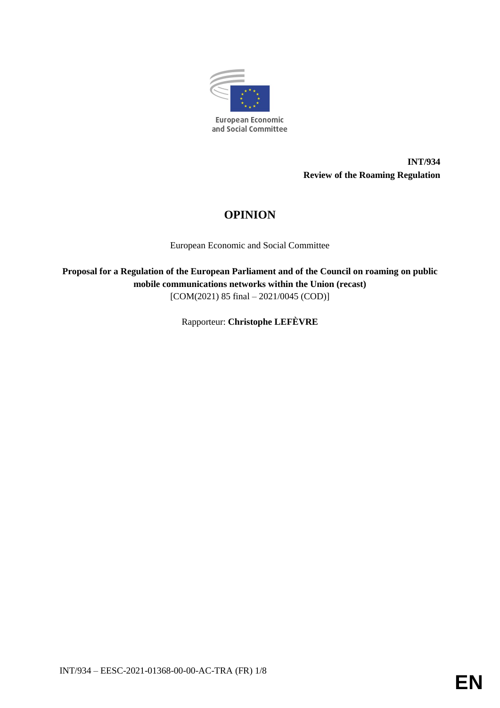

**INT/934 Review of the Roaming Regulation**

# **OPINION**

European Economic and Social Committee

**Proposal for a Regulation of the European Parliament and of the Council on roaming on public mobile communications networks within the Union (recast)** [COM(2021) 85 final - 2021/0045 (COD)]

Rapporteur: **Christophe LEFÈVRE**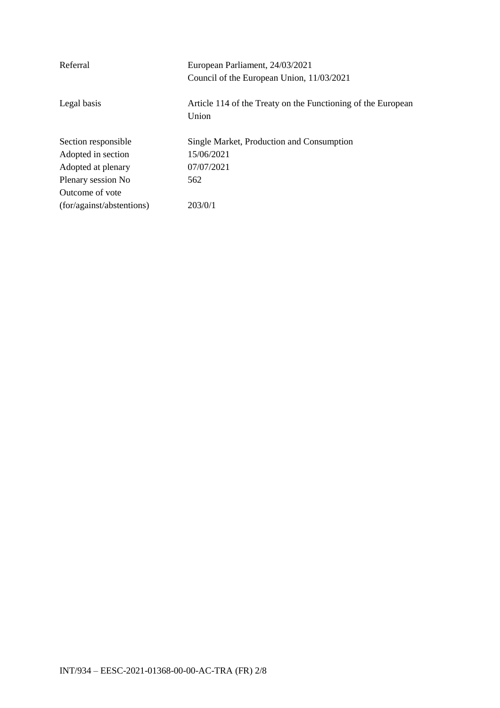| Referral                  | European Parliament, 24/03/2021                              |
|---------------------------|--------------------------------------------------------------|
|                           | Council of the European Union, 11/03/2021                    |
|                           |                                                              |
| Legal basis               | Article 114 of the Treaty on the Functioning of the European |
|                           | Union                                                        |
|                           |                                                              |
| Section responsible       | Single Market, Production and Consumption                    |
| Adopted in section        | 15/06/2021                                                   |
| Adopted at plenary        | 07/07/2021                                                   |
| Plenary session No        | 562                                                          |
| Outcome of vote           |                                                              |
| (for/against/abstentions) | 203/0/1                                                      |
|                           |                                                              |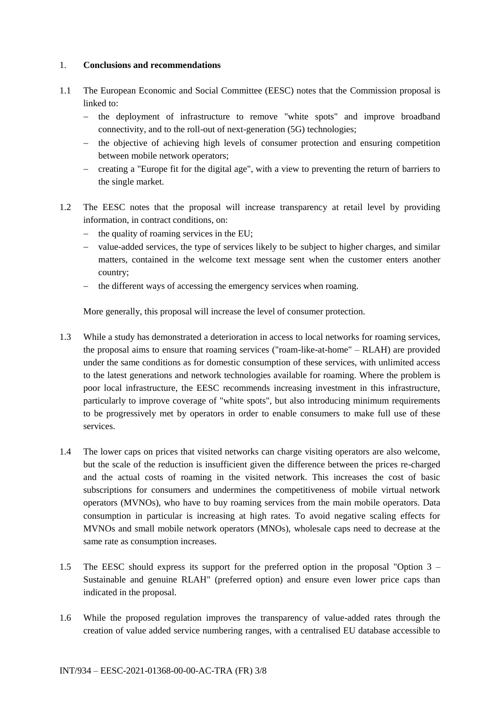### 1. **Conclusions and recommendations**

- 1.1 The European Economic and Social Committee (EESC) notes that the Commission proposal is linked to:
	- the deployment of infrastructure to remove "white spots" and improve broadband connectivity, and to the roll-out of next-generation (5G) technologies;
	- the objective of achieving high levels of consumer protection and ensuring competition between mobile network operators;
	- creating a "Europe fit for the digital age", with a view to preventing the return of barriers to the single market.
- 1.2 The EESC notes that the proposal will increase transparency at retail level by providing information, in contract conditions, on:
	- $-$  the quality of roaming services in the EU;
	- value-added services, the type of services likely to be subject to higher charges, and similar matters, contained in the welcome text message sent when the customer enters another country;
	- the different ways of accessing the emergency services when roaming.

More generally, this proposal will increase the level of consumer protection.

- 1.3 While a study has demonstrated a deterioration in access to local networks for roaming services, the proposal aims to ensure that roaming services ("roam-like-at-home" – RLAH) are provided under the same conditions as for domestic consumption of these services, with unlimited access to the latest generations and network technologies available for roaming. Where the problem is poor local infrastructure, the EESC recommends increasing investment in this infrastructure, particularly to improve coverage of "white spots", but also introducing minimum requirements to be progressively met by operators in order to enable consumers to make full use of these services.
- 1.4 The lower caps on prices that visited networks can charge visiting operators are also welcome, but the scale of the reduction is insufficient given the difference between the prices re-charged and the actual costs of roaming in the visited network. This increases the cost of basic subscriptions for consumers and undermines the competitiveness of mobile virtual network operators (MVNOs), who have to buy roaming services from the main mobile operators. Data consumption in particular is increasing at high rates. To avoid negative scaling effects for MVNOs and small mobile network operators (MNOs), wholesale caps need to decrease at the same rate as consumption increases.
- 1.5 The EESC should express its support for the preferred option in the proposal "Option 3 Sustainable and genuine RLAH" (preferred option) and ensure even lower price caps than indicated in the proposal.
- 1.6 While the proposed regulation improves the transparency of value-added rates through the creation of value added service numbering ranges, with a centralised EU database accessible to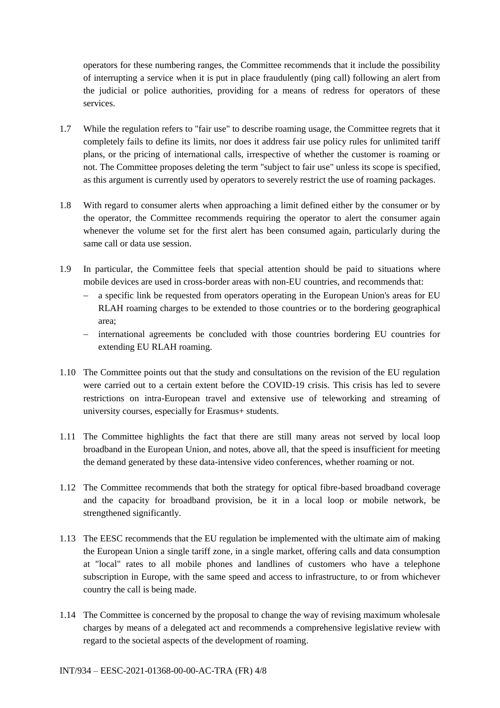operators for these numbering ranges, the Committee recommends that it include the possibility of interrupting a service when it is put in place fraudulently (ping call) following an alert from the judicial or police authorities, providing for a means of redress for operators of these services.

- 1.7 While the regulation refers to "fair use" to describe roaming usage, the Committee regrets that it completely fails to define its limits, nor does it address fair use policy rules for unlimited tariff plans, or the pricing of international calls, irrespective of whether the customer is roaming or not. The Committee proposes deleting the term "subject to fair use" unless its scope is specified, as this argument is currently used by operators to severely restrict the use of roaming packages.
- 1.8 With regard to consumer alerts when approaching a limit defined either by the consumer or by the operator, the Committee recommends requiring the operator to alert the consumer again whenever the volume set for the first alert has been consumed again, particularly during the same call or data use session.
- 1.9 In particular, the Committee feels that special attention should be paid to situations where mobile devices are used in cross-border areas with non-EU countries, and recommends that:
	- a specific link be requested from operators operating in the European Union's areas for EU RLAH roaming charges to be extended to those countries or to the bordering geographical area;
	- international agreements be concluded with those countries bordering EU countries for extending EU RLAH roaming.
- 1.10 The Committee points out that the study and consultations on the revision of the EU regulation were carried out to a certain extent before the COVID-19 crisis. This crisis has led to severe restrictions on intra-European travel and extensive use of teleworking and streaming of university courses, especially for Erasmus+ students.
- 1.11 The Committee highlights the fact that there are still many areas not served by local loop broadband in the European Union, and notes, above all, that the speed is insufficient for meeting the demand generated by these data-intensive video conferences, whether roaming or not.
- 1.12 The Committee recommends that both the strategy for optical fibre-based broadband coverage and the capacity for broadband provision, be it in a local loop or mobile network, be strengthened significantly.
- 1.13 The EESC recommends that the EU regulation be implemented with the ultimate aim of making the European Union a single tariff zone, in a single market, offering calls and data consumption at "local" rates to all mobile phones and landlines of customers who have a telephone subscription in Europe, with the same speed and access to infrastructure, to or from whichever country the call is being made.
- 1.14 The Committee is concerned by the proposal to change the way of revising maximum wholesale charges by means of a delegated act and recommends a comprehensive legislative review with regard to the societal aspects of the development of roaming.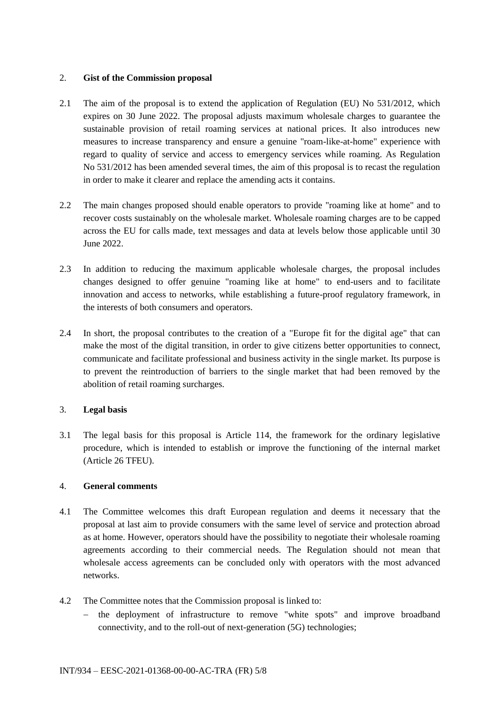### 2. **Gist of the Commission proposal**

- 2.1 The aim of the proposal is to extend the application of Regulation (EU) No 531/2012, which expires on 30 June 2022. The proposal adjusts maximum wholesale charges to guarantee the sustainable provision of retail roaming services at national prices. It also introduces new measures to increase transparency and ensure a genuine "roam-like-at-home" experience with regard to quality of service and access to emergency services while roaming. As Regulation No 531/2012 has been amended several times, the aim of this proposal is to recast the regulation in order to make it clearer and replace the amending acts it contains.
- 2.2 The main changes proposed should enable operators to provide "roaming like at home" and to recover costs sustainably on the wholesale market. Wholesale roaming charges are to be capped across the EU for calls made, text messages and data at levels below those applicable until 30 June 2022.
- 2.3 In addition to reducing the maximum applicable wholesale charges, the proposal includes changes designed to offer genuine "roaming like at home" to end-users and to facilitate innovation and access to networks, while establishing a future-proof regulatory framework, in the interests of both consumers and operators.
- 2.4 In short, the proposal contributes to the creation of a "Europe fit for the digital age" that can make the most of the digital transition, in order to give citizens better opportunities to connect, communicate and facilitate professional and business activity in the single market. Its purpose is to prevent the reintroduction of barriers to the single market that had been removed by the abolition of retail roaming surcharges.

## 3. **Legal basis**

3.1 The legal basis for this proposal is Article 114, the framework for the ordinary legislative procedure, which is intended to establish or improve the functioning of the internal market (Article 26 TFEU).

#### 4. **General comments**

- 4.1 The Committee welcomes this draft European regulation and deems it necessary that the proposal at last aim to provide consumers with the same level of service and protection abroad as at home. However, operators should have the possibility to negotiate their wholesale roaming agreements according to their commercial needs. The Regulation should not mean that wholesale access agreements can be concluded only with operators with the most advanced networks.
- 4.2 The Committee notes that the Commission proposal is linked to:
	- the deployment of infrastructure to remove "white spots" and improve broadband connectivity, and to the roll-out of next-generation (5G) technologies;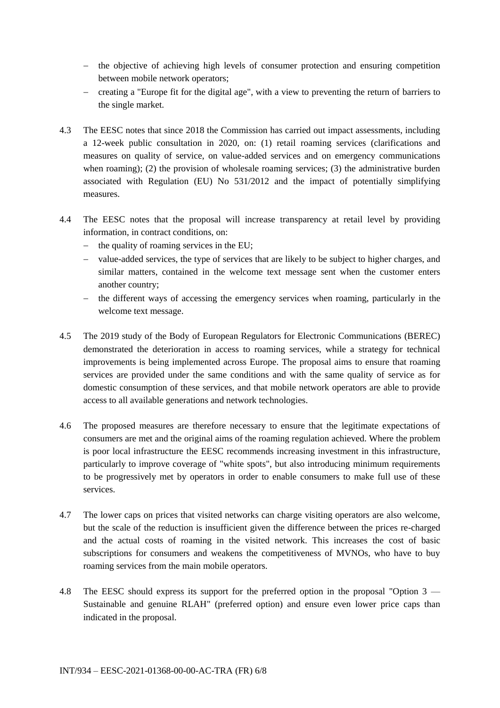- the objective of achieving high levels of consumer protection and ensuring competition between mobile network operators;
- creating a "Europe fit for the digital age", with a view to preventing the return of barriers to the single market.
- 4.3 The EESC notes that since 2018 the Commission has carried out impact assessments, including a 12-week public consultation in 2020, on: (1) retail roaming services (clarifications and measures on quality of service, on value-added services and on emergency communications when roaming); (2) the provision of wholesale roaming services; (3) the administrative burden associated with Regulation (EU) No 531/2012 and the impact of potentially simplifying measures.
- 4.4 The EESC notes that the proposal will increase transparency at retail level by providing information, in contract conditions, on:
	- $-$  the quality of roaming services in the EU;
	- value-added services, the type of services that are likely to be subject to higher charges, and similar matters, contained in the welcome text message sent when the customer enters another country;
	- the different ways of accessing the emergency services when roaming, particularly in the welcome text message.
- 4.5 The 2019 study of the Body of European Regulators for Electronic Communications (BEREC) demonstrated the deterioration in access to roaming services, while a strategy for technical improvements is being implemented across Europe. The proposal aims to ensure that roaming services are provided under the same conditions and with the same quality of service as for domestic consumption of these services, and that mobile network operators are able to provide access to all available generations and network technologies.
- 4.6 The proposed measures are therefore necessary to ensure that the legitimate expectations of consumers are met and the original aims of the roaming regulation achieved. Where the problem is poor local infrastructure the EESC recommends increasing investment in this infrastructure, particularly to improve coverage of "white spots", but also introducing minimum requirements to be progressively met by operators in order to enable consumers to make full use of these services.
- 4.7 The lower caps on prices that visited networks can charge visiting operators are also welcome, but the scale of the reduction is insufficient given the difference between the prices re-charged and the actual costs of roaming in the visited network. This increases the cost of basic subscriptions for consumers and weakens the competitiveness of MVNOs, who have to buy roaming services from the main mobile operators.
- 4.8 The EESC should express its support for the preferred option in the proposal "Option 3 Sustainable and genuine RLAH" (preferred option) and ensure even lower price caps than indicated in the proposal.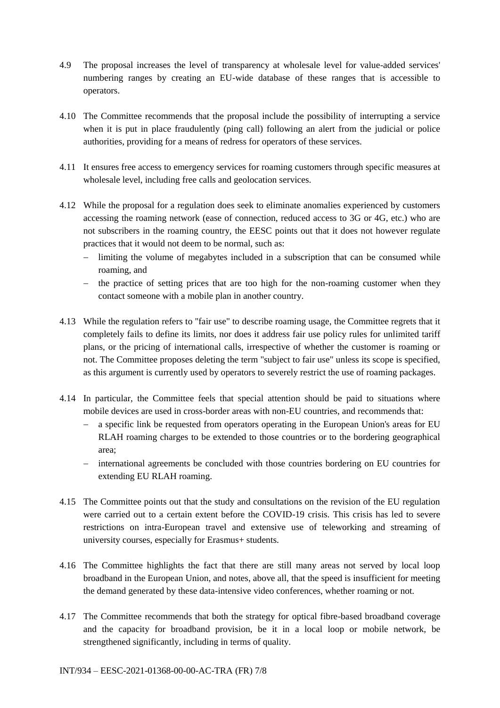- 4.9 The proposal increases the level of transparency at wholesale level for value-added services' numbering ranges by creating an EU-wide database of these ranges that is accessible to operators.
- 4.10 The Committee recommends that the proposal include the possibility of interrupting a service when it is put in place fraudulently (ping call) following an alert from the judicial or police authorities, providing for a means of redress for operators of these services.
- 4.11 It ensures free access to emergency services for roaming customers through specific measures at wholesale level, including free calls and geolocation services.
- 4.12 While the proposal for a regulation does seek to eliminate anomalies experienced by customers accessing the roaming network (ease of connection, reduced access to 3G or 4G, etc.) who are not subscribers in the roaming country, the EESC points out that it does not however regulate practices that it would not deem to be normal, such as:
	- limiting the volume of megabytes included in a subscription that can be consumed while roaming, and
	- $\theta$  the practice of setting prices that are too high for the non-roaming customer when they contact someone with a mobile plan in another country.
- 4.13 While the regulation refers to "fair use" to describe roaming usage, the Committee regrets that it completely fails to define its limits, nor does it address fair use policy rules for unlimited tariff plans, or the pricing of international calls, irrespective of whether the customer is roaming or not. The Committee proposes deleting the term "subject to fair use" unless its scope is specified, as this argument is currently used by operators to severely restrict the use of roaming packages.
- 4.14 In particular, the Committee feels that special attention should be paid to situations where mobile devices are used in cross-border areas with non-EU countries, and recommends that:
	- a specific link be requested from operators operating in the European Union's areas for EU RLAH roaming charges to be extended to those countries or to the bordering geographical area;
	- international agreements be concluded with those countries bordering on EU countries for extending EU RLAH roaming.
- 4.15 The Committee points out that the study and consultations on the revision of the EU regulation were carried out to a certain extent before the COVID-19 crisis. This crisis has led to severe restrictions on intra-European travel and extensive use of teleworking and streaming of university courses, especially for Erasmus+ students.
- 4.16 The Committee highlights the fact that there are still many areas not served by local loop broadband in the European Union, and notes, above all, that the speed is insufficient for meeting the demand generated by these data-intensive video conferences, whether roaming or not.
- 4.17 The Committee recommends that both the strategy for optical fibre-based broadband coverage and the capacity for broadband provision, be it in a local loop or mobile network, be strengthened significantly, including in terms of quality.